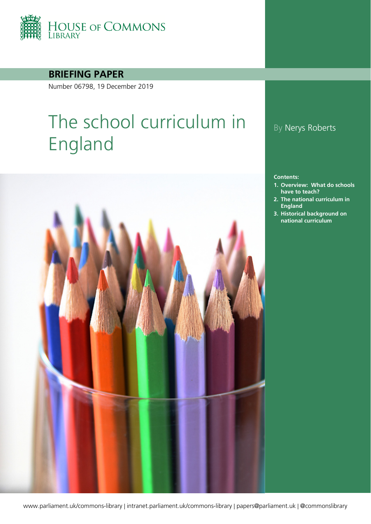

**BRIEFING PAPER**

Number 06798, 19 December 2019

# The school curriculum in England



### By Nerys Roberts

#### **Contents:**

- **1. [Overview: What do schools](#page-3-0)  [have to teach?](#page-3-0)**
- **2. [The national curriculum in](#page-6-0)  [England](#page-6-0)**
- **3. [Historical background on](#page-8-0)  [national curriculum](#page-8-0)**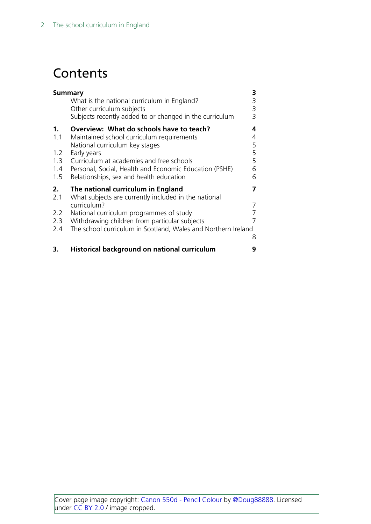## **Contents**

| 3<br><b>Summary</b>                              |                                                                                                                                                                                                                                                                                         |                                 |  |  |  |  |
|--------------------------------------------------|-----------------------------------------------------------------------------------------------------------------------------------------------------------------------------------------------------------------------------------------------------------------------------------------|---------------------------------|--|--|--|--|
|                                                  | What is the national curriculum in England?<br>Other curriculum subjects                                                                                                                                                                                                                | 3                               |  |  |  |  |
|                                                  | Subjects recently added to or changed in the curriculum                                                                                                                                                                                                                                 | $\frac{3}{3}$                   |  |  |  |  |
| $\mathbf 1$ .<br>1.1<br>1.2<br>1.3<br>1.4<br>1.5 | Overview: What do schools have to teach?<br>Maintained school curriculum requirements<br>National curriculum key stages<br>Early years<br>Curriculum at academies and free schools<br>Personal, Social, Health and Economic Education (PSHE)<br>Relationships, sex and health education | 4<br>4<br>5<br>5<br>5<br>6<br>6 |  |  |  |  |
| 2.<br>2.1                                        | The national curriculum in England<br>What subjects are currently included in the national                                                                                                                                                                                              | 7                               |  |  |  |  |
|                                                  | curriculum?                                                                                                                                                                                                                                                                             | 7                               |  |  |  |  |
| 2.2                                              | National curriculum programmes of study                                                                                                                                                                                                                                                 | 7<br>7                          |  |  |  |  |
| 2.3<br>2.4                                       | Withdrawing children from particular subjects<br>The school curriculum in Scotland, Wales and Northern Ireland                                                                                                                                                                          |                                 |  |  |  |  |
|                                                  |                                                                                                                                                                                                                                                                                         | 8                               |  |  |  |  |
| 3.                                               | Historical background on national curriculum                                                                                                                                                                                                                                            | 9                               |  |  |  |  |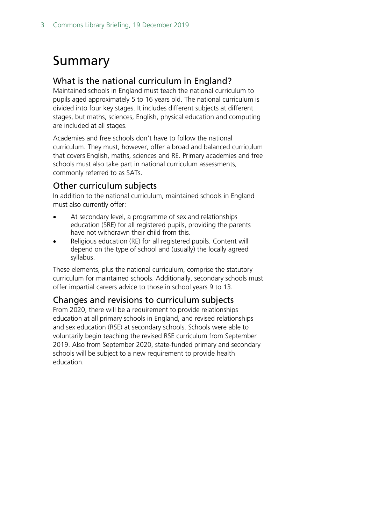## <span id="page-2-0"></span>Summary

### <span id="page-2-1"></span>What is the national curriculum in England?

Maintained schools in England must teach the national curriculum to pupils aged approximately 5 to 16 years old. The national curriculum is divided into four key stages. It includes different subjects at different stages, but maths, sciences, English, physical education and computing are included at all stages.

Academies and free schools don't have to follow the national curriculum. They must, however, offer a broad and balanced curriculum that covers English, maths, sciences and RE. Primary academies and free schools must also take part in national curriculum assessments, commonly referred to as SATs.

#### <span id="page-2-2"></span>Other curriculum subjects

In addition to the national curriculum, maintained schools in England must also currently offer:

- At secondary level, a programme of sex and relationships education (SRE) for all registered pupils, providing the parents have not withdrawn their child from this.
- Religious education (RE) for all registered pupils. Content will depend on the type of school and (usually) the locally agreed syllabus.

These elements, plus the national curriculum, comprise the statutory curriculum for maintained schools. Additionally, secondary schools must offer impartial careers advice to those in school years 9 to 13.

### <span id="page-2-3"></span>Changes and revisions to curriculum subjects

From 2020, there will be a requirement to provide relationships education at all primary schools in England, and revised relationships and sex education (RSE) at secondary schools. Schools were able to voluntarily begin teaching the revised RSE curriculum from September 2019. Also from September 2020, state-funded primary and secondary schools will be subject to a new requirement to provide health education.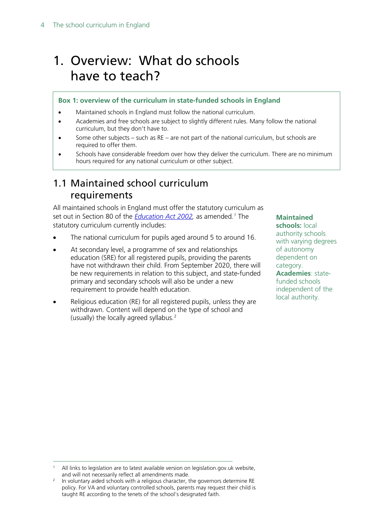## <span id="page-3-0"></span>1. Overview: What do schools have to teach?

#### **Box 1: overview of the curriculum in state-funded schools in England**

- Maintained schools in England must follow the national curriculum.
- Academies and free schools are subject to slightly different rules. Many follow the national curriculum, but they don't have to.
- Some other subjects such as  $RE -$  are not part of the national curriculum, but schools are required to offer them.
- Schools have considerable freedom over how they deliver the curriculum. There are no minimum hours required for any national curriculum or other subject.

### <span id="page-3-1"></span>1.1 Maintained school curriculum requirements

All maintained schools in England must offer the statutory curriculum as set out in Section 80 of the *[Education Act 2002,](http://www.legislation.gov.uk/ukpga/2002/32/contents)* as amended*. [1](#page-3-2)* The statutory curriculum currently includes:

- The national curriculum for pupils aged around 5 to around 16.
- At secondary level, a programme of sex and relationships education (SRE) for all registered pupils, providing the parents have not withdrawn their child. From September 2020, there will be new requirements in relation to this subject, and state-funded primary and secondary schools will also be under a new requirement to provide health education.
- Religious education (RE) for all registered pupils, unless they are withdrawn. Content will depend on the type of school and (usually) the locally agreed syllabus. $2$

### **Maintained**

**schools:** local authority schools with varying degrees of autonomy dependent on category. **Academies**: statefunded schools independent of the local authority.

<span id="page-3-2"></span>All links to legislation are to latest available version on legislation.gov.uk website, and will not necessarily reflect all amendments made.

<span id="page-3-3"></span>In voluntary aided schools with a religious character, the governors determine RE policy. For VA and voluntary controlled schools, parents may request their child is taught RE according to the tenets of the school's designated faith.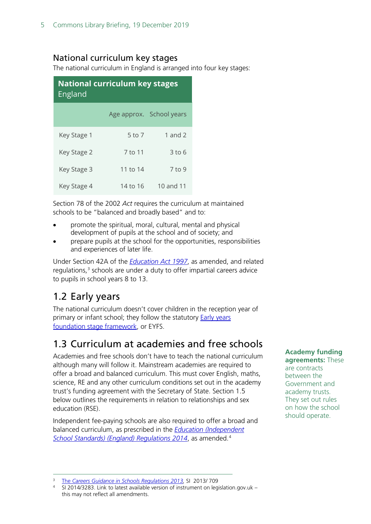### <span id="page-4-0"></span>National curriculum key stages

The national curriculum in England is arranged into four key stages:

| <b>National curriculum key stages</b><br>England |            |                          |  |  |  |  |  |  |  |
|--------------------------------------------------|------------|--------------------------|--|--|--|--|--|--|--|
|                                                  |            | Age approx. School years |  |  |  |  |  |  |  |
| Key Stage 1                                      | $5$ to $7$ | 1 and $2$                |  |  |  |  |  |  |  |
| Key Stage 2                                      | 7 to 11    | $3$ to 6                 |  |  |  |  |  |  |  |
| Key Stage 3                                      | 11 to 14   | 7 to 9                   |  |  |  |  |  |  |  |
| Key Stage 4                                      | 14 to 16   | 10 and 11                |  |  |  |  |  |  |  |

Section 78 of the 2002 *Act* requires the curriculum at maintained schools to be "balanced and broadly based" and to:

- promote the spiritual, moral, cultural, mental and physical development of pupils at the school and of society; and
- prepare pupils at the school for the opportunities, responsibilities and experiences of later life.

Under Section 42A of the *[Education Act 1997](http://www.legislation.gov.uk/ukpga/1997/44/contents)*, as amended, and related regulations, $3$  schools are under a duty to offer impartial careers advice to pupils in school years 8 to 13.

## <span id="page-4-1"></span>1.2 Early years

The national curriculum doesn't cover children in the reception year of primary or infant school; they follow the statutory [Early years](https://www.gov.uk/government/publications/early-years-foundation-stage-framework--2)  [foundation stage](https://www.gov.uk/government/publications/early-years-foundation-stage-framework--2) framework, or EYFS.

## <span id="page-4-2"></span>1.3 Curriculum at academies and free schools

Academies and free schools don't have to teach the national curriculum although many will follow it. Mainstream academies are required to offer a broad and balanced curriculum. This must cover English, maths, science, RE and any other curriculum conditions set out in the academy trust's funding agreement with the Secretary of State. Section 1.5 below outlines the requirements in relation to relationships and sex education (RSE).

Independent fee-paying schools are also required to offer a broad and balanced curriculum, as prescribed in the *[Education \(Independent](http://www.legislation.gov.uk/uksi/2014/3283/schedule/made)  [School Standards\) \(England\) Regulations 2014](http://www.legislation.gov.uk/uksi/2014/3283/schedule/made)*, as amended.[4](#page-4-4)

#### **Academy funding**

**agreements:** These are contracts between the Government and academy trusts. They set out rules on how the school should operate.

<span id="page-4-4"></span><sup>4</sup> SI 2014/3283. Link to latest available version of instrument on legislation.gov.uk – this may not reflect all amendments.

<span id="page-4-3"></span> <sup>3</sup> The *[Careers Guidance in Schools Regulations 2013,](http://www.legislation.gov.uk/uksi/2013/709/contents/made)* SI 2013/ 709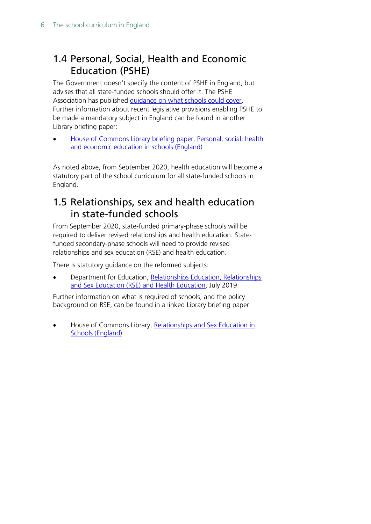## <span id="page-5-0"></span>1.4 Personal, Social, Health and Economic Education (PSHE)

The Government doesn't specify the content of PSHE in England, but advises that all state-funded schools should offer it. The PSHE Association has published [guidance on what schools could cover.](https://www.pshe-association.org.uk/curriculum-and-resources/curriculum) Further information about recent legislative provisions enabling PSHE to be made a mandatory subject in England can be found in another Library briefing paper:

• [House of Commons Library briefing paper, Personal, social, health](http://researchbriefings.parliament.uk/ResearchBriefing/Summary/CBP-7303)  [and economic education in schools \(England\)](http://researchbriefings.parliament.uk/ResearchBriefing/Summary/CBP-7303)

As noted above, from September 2020, health education will become a statutory part of the school curriculum for all state-funded schools in England.

### <span id="page-5-1"></span>1.5 Relationships, sex and health education in state-funded schools

From September 2020, state-funded primary-phase schools will be required to deliver revised relationships and health education. Statefunded secondary-phase schools will need to provide revised relationships and sex education (RSE) and health education.

There is statutory guidance on the reformed subjects:

• Department for Education, [Relationships Education, Relationships](https://www.gov.uk/government/publications/relationships-education-relationships-and-sex-education-rse-and-health-education)  [and Sex Education \(RSE\) and Health Education,](https://www.gov.uk/government/publications/relationships-education-relationships-and-sex-education-rse-and-health-education) July 2019.

Further information on what is required of schools, and the policy background on RSE, can be found in a linked Library briefing paper:

• House of Commons Library, [Relationships and Sex Education in](https://researchbriefings.parliament.uk/ResearchBriefing/Summary/SN06103)  [Schools \(England\).](https://researchbriefings.parliament.uk/ResearchBriefing/Summary/SN06103)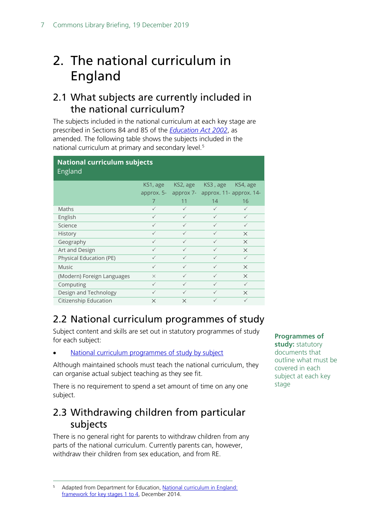## <span id="page-6-0"></span>2. The national curriculum in England

### <span id="page-6-1"></span>2.1 What subjects are currently included in the national curriculum?

The subjects included in the national curriculum at each key stage are prescribed in Sections 84 and 85 of the *[Education Act 2002](http://www.legislation.gov.uk/ukpga/2002/32/contents)*, as amended. The following table shows the subjects included in the national curriculum at primary and secondary level.<sup>[5](#page-6-4)</sup>

| <b>National curriculum subjects</b><br>England |              |              |                                   |              |  |  |  |  |  |
|------------------------------------------------|--------------|--------------|-----------------------------------|--------------|--|--|--|--|--|
|                                                | KS1, age     | KS2, age     | KS3, age                          | KS4, age     |  |  |  |  |  |
|                                                | approx. 5-   |              | approx 7- approx. 11- approx. 14- |              |  |  |  |  |  |
|                                                | 7            | 11           | 14                                | 16           |  |  |  |  |  |
| Maths                                          | $\checkmark$ | $\checkmark$ | $\checkmark$                      | $\checkmark$ |  |  |  |  |  |
| English                                        | $\checkmark$ | $\checkmark$ | $\checkmark$                      | $\checkmark$ |  |  |  |  |  |
| Science                                        | $\checkmark$ | $\checkmark$ | $\checkmark$                      | $\checkmark$ |  |  |  |  |  |
| <b>History</b>                                 | $\checkmark$ | $\checkmark$ | $\checkmark$                      | $\times$     |  |  |  |  |  |
| Geography                                      | $\checkmark$ | $\checkmark$ | $\checkmark$                      | $\times$     |  |  |  |  |  |
| Art and Design                                 | $\checkmark$ | ✓            | $\checkmark$                      | $\times$     |  |  |  |  |  |
| Physical Education (PE)                        | $\checkmark$ | ✓            | $\checkmark$                      | $\checkmark$ |  |  |  |  |  |
| <b>Music</b>                                   | $\checkmark$ | $\checkmark$ | $\checkmark$                      | $\times$     |  |  |  |  |  |
| (Modern) Foreign Languages                     | $\times$     | $\checkmark$ | $\checkmark$                      | $\times$     |  |  |  |  |  |
| Computing                                      | $\checkmark$ | $\checkmark$ | $\checkmark$                      | $\checkmark$ |  |  |  |  |  |
| Design and Technology                          | $\checkmark$ | $\checkmark$ | $\checkmark$                      | $\times$     |  |  |  |  |  |
| Citizenship Education                          | $\times$     | $\times$     | $\checkmark$                      | $\checkmark$ |  |  |  |  |  |

## <span id="page-6-2"></span>2.2 National curriculum programmes of study

Subject content and skills are set out in statutory programmes of study for each subject:

[National curriculum programmes of study by subject](https://www.gov.uk/government/collections/national-curriculum)

Although maintained schools must teach the national curriculum, they can organise actual subject teaching as they see fit.

There is no requirement to spend a set amount of time on any one subject.

### <span id="page-6-3"></span>2.3 Withdrawing children from particular subjects

There is no general right for parents to withdraw children from any parts of the national curriculum. Currently parents can, however, withdraw their children from sex education, and from RE.

**Programmes of study:** statutory documents that outline what must be covered in each subject at each key stage

<span id="page-6-4"></span><sup>&</sup>lt;sup>5</sup> Adapted from Department for Education, National curriculum in England: [framework for key stages 1 to 4,](https://www.gov.uk/government/publications/national-curriculum-in-england-framework-for-key-stages-1-to-4) December 2014.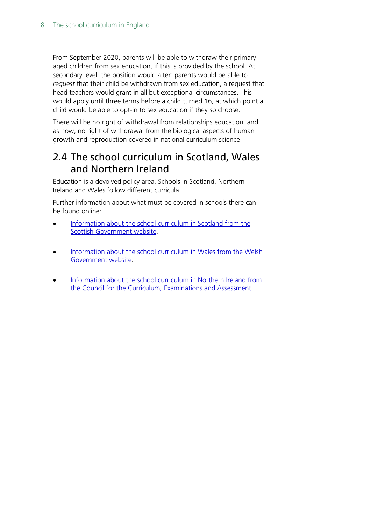From September 2020, parents will be able to withdraw their primaryaged children from sex education, if this is provided by the school. At secondary level, the position would alter: parents would be able to *request* that their child be withdrawn from sex education, a request that head teachers would grant in all but exceptional circumstances. This would apply until three terms before a child turned 16, at which point a child would be able to opt-in to sex education if they so choose.

There will be no right of withdrawal from relationships education, and as now, no right of withdrawal from the biological aspects of human growth and reproduction covered in national curriculum science.

### <span id="page-7-0"></span>2.4 The school curriculum in Scotland, Wales and Northern Ireland

Education is a devolved policy area. Schools in Scotland, Northern Ireland and Wales follow different curricula.

Further information about what must be covered in schools there can be found online:

- [Information about the school curriculum in Scotland from the](https://beta.gov.scot/policies/schools/school-curriculum/)  [Scottish Government website.](https://beta.gov.scot/policies/schools/school-curriculum/)
- Information about the school curriculum in Wales from the Welsh [Government website.](https://gov.wales/curriculum-and-assessment)
- Information about the school curriculum in Northern Ireland from the Council [for the Curriculum, Examinations and Assessment.](http://ccea.org.uk/)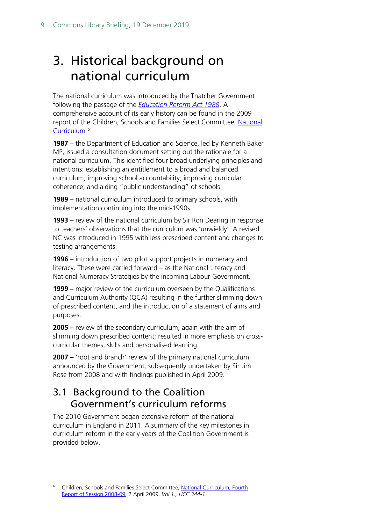## <span id="page-8-0"></span>3. Historical background on national curriculum

The national curriculum was introduced by the Thatcher Government following the passage of the *[Education Reform Act 1988](http://www.legislation.gov.uk/ukpga/1988/40/contents)*. A comprehensive account of its early history can be found in the 2009 report of the Children, Schools and Families Select Committee, [National](http://www.publications.parliament.uk/pa/cm200809/cmselect/cmchilsch/344/344i.pdf)  [Curriculum](http://www.publications.parliament.uk/pa/cm200809/cmselect/cmchilsch/344/344i.pdf)*. [6](#page-8-1)* 

**1987** – the Department of Education and Science, led by Kenneth Baker MP, issued a consultation document setting out the rationale for a national curriculum. This identified four broad underlying principles and intentions: establishing an entitlement to a broad and balanced curriculum; improving school accountability; improving curricular coherence; and aiding "public understanding" of schools.

**1989** – national curriculum introduced to primary schools, with implementation continuing into the mid-1990s.

**1993** – review of the national curriculum by Sir Ron Dearing in response to teachers' observations that the curriculum was 'unwieldy'. A revised NC was introduced in 1995 with less prescribed content and changes to testing arrangements.

**1996** – introduction of two pilot support projects in numeracy and literacy. These were carried forward – as the National Literacy and National Numeracy Strategies by the incoming Labour Government.

**1999 –** major review of the curriculum overseen by the Qualifications and Curriculum Authority (QCA) resulting in the further slimming down of prescribed content, and the introduction of a statement of aims and purposes.

**2005 –** review of the secondary curriculum, again with the aim of slimming down prescribed content; resulted in more emphasis on crosscurricular themes, skills and personalised learning.

**2007 –** 'root and branch' review of the primary national curriculum announced by the Government, subsequently undertaken by Sir Jim Rose from 2008 and with findings published in April 2009.

### 3.1 Background to the Coalition Government's curriculum reforms

The 2010 Government began extensive reform of the national curriculum in England in 2011. A summary of the key milestones in curriculum reform in the early years of the Coalition Government is provided below.

<span id="page-8-1"></span> <sup>6</sup> Children, Schools and Families Select Committee, [National Curriculum, Fourth](http://www.publications.parliament.uk/pa/cm200809/cmselect/cmchilsch/344/344i.pdf)  [Report of Session 2008-09](http://www.publications.parliament.uk/pa/cm200809/cmselect/cmchilsch/344/344i.pdf)*,* 2 April 2009, *Vol 1., HCC 344-1*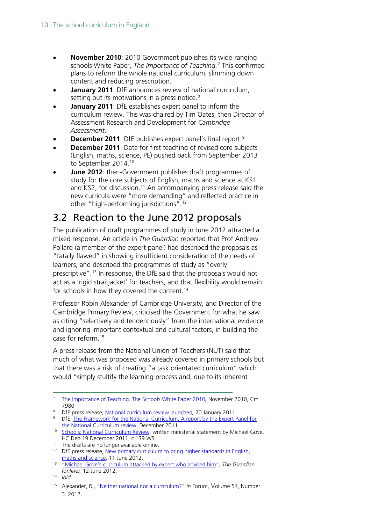- **November 2010**: 2010 Government publishes its wide-ranging schools White Paper, *The Importance of Teaching.[7](#page-9-0)* This confirmed plans to reform the whole national curriculum, slimming down content and reducing prescription.
- **January 2011**: DfE announces review of national curriculum, setting out its motivations in a press notice.<sup>[8](#page-9-1)</sup>
- **January 2011**: DfE establishes expert panel to inform the curriculum review. This was chaired by Tim Oates, then Director of Assessment Research and Development for *Cambridge Assessment*.
- **December 2011**: DfE publishes expert panel's final report.<sup>[9](#page-9-2)</sup>
- **December 2011**: Date for first teaching of revised core subjects (English, maths, science, PE) pushed back from September 2013 to September 2014.<sup>[10](#page-9-3)</sup>
- **June 2012**: then-Government publishes draft programmes of study for the core subjects of English, maths and science at KS1 and KS2, for discussion.<sup>[11](#page-9-4)</sup> An accompanying press release said the new curricula were "more demanding" and reflected practice in other "high-performing jurisdictions".[12](#page-9-5)

## 3.2 Reaction to the June 2012 proposals

The publication of draft programmes of study in June 2012 attracted a mixed response. An [article](http://www.theguardian.com/education/2012/jun/12/michael-gove-curriculum-attacked-adviser) in *The Guardian* reported that Prof Andrew Pollard (a member of the expert panel) had described the proposals as "fatally flawed" in showing insufficient consideration of the needs of learners, and described the programmes of study as "overly prescriptive".<sup>[13](#page-9-6)</sup> In response, the DfE said that the proposals would not act as a 'rigid straitjacket' for teachers, and that flexibility would remain for schools in how they covered the content.<sup>[14](#page-9-7)</sup>

Professor Robin Alexander of Cambridge University, and Director of the Cambridge Primary Review, criticised the Government for what he saw as citing "selectively and tendentiously" from the international evidence and ignoring important contextual and cultural factors, in building the case for reform.[15](#page-9-8)

A press release from the National Union of Teachers (NUT) said that much of what was proposed was already covered in primary schools but that there was a risk of creating "a task orientated curriculum" which would "simply stultify the learning process and, due to its inherent

- 
- <span id="page-9-2"></span><span id="page-9-1"></span><sup>9</sup> DfE, The Framework for the National Curriculum. A report by the Expert Panel for [the National Curriculum review,](https://www.gov.uk/government/uploads/system/uploads/attachment_data/file/175439/NCR-Expert_Panel_Report.pdf) December 2011
- <span id="page-9-3"></span><sup>10</sup> [Schools: National Curriculum Review,](http://www.publications.parliament.uk/pa/cm201011/cmhansrd/cm111219/wmstext/111219m0001.htm#1112191000015) written ministerial statement by Michael Gove, HC Deb 19 December 2011, c 139 WS<br><sup>11</sup> The drafts are no longer available online.
- 

<span id="page-9-0"></span> <sup>7</sup> [The Importance of Teaching. The Schools White Paper 2010](https://www.gov.uk/government/uploads/system/uploads/attachment_data/file/175429/CM-7980.pdf)*,* November 2010, Cm 7980<br><sup>8</sup> DfE press release, National curriculum review launched, 20 January 2011.

<span id="page-9-5"></span><span id="page-9-4"></span><sup>&</sup>lt;sup>12</sup> DfE press release, <u>New primary curriculum to bring higher standards in English, maths and science</u>, 11 June 2012.

<span id="page-9-6"></span><sup>&</sup>lt;sup>13</sup> ["Michael Gove's curriculum attacked by expert who advised him"](http://www.theguardian.com/education/2012/jun/12/michael-gove-curriculum-attacked-adviser), The Guardian *(online),* 12 June 2012. 14 *Ibid*.

<span id="page-9-8"></span><span id="page-9-7"></span>

<sup>&</sup>lt;sup>15</sup> Alexander, R., ["Neither national nor a curriculum?](http://cprtrust.org.uk/wp-content/uploads/2014/06/Neither-National-Nor-a-Curriculum.pdf)" *in* Forum, Volume 54, Number 3. 2012.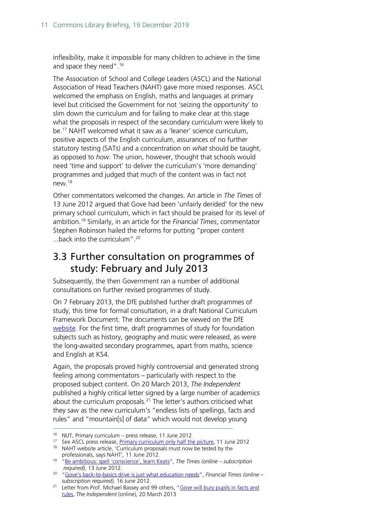inflexibility, make it impossible for many children to achieve in the time and space they need".<sup>[16](#page-10-0)</sup>

The Association of School and College Leaders (ASCL) and the National Association of Head Teachers (NAHT) gave more mixed responses. ASCL welcomed the emphasis on English, maths and languages at primary level but criticised the Government for not 'seizing the opportunity' to slim down the curriculum and for failing to make clear at this stage what the proposals in respect of the secondary curriculum were likely to be.[17](#page-10-1) NAHT welcomed what it saw as a 'leaner' science curriculum, positive aspects of the English curriculum, assurances of no further statutory testing (SATs) and a concentration on *what* should be taught, as opposed to *how*. The union, however, thought that schools would need 'time and support' to deliver the curriculum's 'more demanding' programmes and judged that much of the content was in fact not new.[18](#page-10-2)

Other commentators welcomed the changes. An article in *The Times* of 13 June 2012 argued that Gove had been 'unfairly derided' for the new primary school curriculum, which in fact should be praised for its level of ambition.[19](#page-10-3) Similarly, in an article for the *Financial Times*, commentator Stephen Robinson hailed the reforms for putting "proper content ...back into the curriculum".[20](#page-10-4)

### 3.3 Further consultation on programmes of study: February and July 2013

Subsequently, the then Government ran a number of additional consultations on further revised programmes of study.

On 7 February 2013, the DfE published further draft programmes of study, this time for formal consultation, in a draft National Curriculum Framework Document. The documents can be viewed on the DfE [website.](https://www.gov.uk/government/consultations/national-curriculum-review-new-programmes-of-study-and-attainment-targets-from-september-2014) For the first time, draft programmes of study for foundation subjects such as history, geography and music were released, as were the long-awaited secondary programmes, apart from maths, science and English at KS4.

Again, the proposals proved highly controversial and generated strong feeling among commentators – particularly with respect to the proposed subject content. On 20 March 2013, *The Independent* published a highly critical letter signed by a large number of academics about the curriculum proposals. [21](#page-10-5) The letter's authors criticised what they saw as the new curriculum's "endless lists of spellings, facts and rules" and "mountain[s] of data" which would not develop young

<span id="page-10-1"></span><span id="page-10-0"></span> <sup>16</sup> NUT, Primary curriculum – press release, 11 June 2012

<sup>&</sup>lt;sup>17</sup> See ASCL press release, *Primary curriculum only half the picture*, 11 June 2012

<span id="page-10-2"></span><sup>&</sup>lt;sup>18</sup> NAHT website article, 'Curriculum proposals must now be tested by the professionals, says NAHT', 11 June 2012.

<span id="page-10-3"></span><sup>&</sup>lt;sup>19</sup> ["Be ambitious: spell 'conscience', learn Keats"](http://www.thetimes.co.uk/tto/opinion/columnists/alicethomson/article3443913.ece), The Times (online – *subscription required),* 13 June 2012.

<span id="page-10-4"></span><sup>20</sup> ["Gove's back-to-basics drive is just what education needs"](https://www.ft.com/content/088f7d64-b575-11e1-ab92-00144feabdc0), *Financial Times (online –*

<span id="page-10-5"></span><sup>&</sup>lt;sup>21</sup> Letter from Prof. Michael Bassey and 99 others, "Gove will bury pupils in facts and [rules,](http://www.independent.co.uk/voices/letters/letters-gove-will-bury-pupils-in-facts-and-rules-8540741.html) *The Independent* (online)*,* 20 March 2013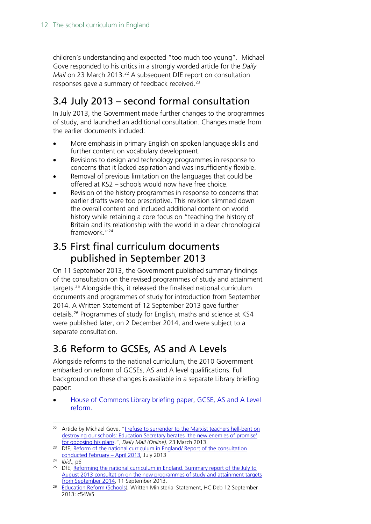children's understanding and expected "too much too young". Michael Gove responded to his critics in a strongly worded article for the *Daily Mail* on 23 March 2013.<sup>[22](#page-11-0)</sup> A subsequent DfE report on consultation responses gave a summary of feedback received.<sup>[23](#page-11-1)</sup>

## 3.4 July 2013 – second formal consultation

In July 2013, the Government made further changes to the programmes of study, and launched an additional consultation. Changes made from the earlier documents included:

- More emphasis in primary English on spoken language skills and further content on vocabulary development.
- Revisions to design and technology programmes in response to concerns that it lacked aspiration and was insufficiently flexible.
- Removal of previous limitation on the languages that could be offered at KS2 – schools would now have free choice.
- Revision of the history programmes in response to concerns that earlier drafts were too prescriptive. This revision slimmed down the overall content and included additional content on world history while retaining a core focus on "teaching the history of Britain and its relationship with the world in a clear chronological framework.["24](#page-11-2)

### 3.5 First final curriculum documents published in September 2013

On 11 September 2013, the Government published summary findings of the consultation on the revised programmes of study and attainment targets.[25](#page-11-3) Alongside this, it released the finalised national curriculum documents and programmes of study for introduction from September 2014. A Written Statement of 12 September 2013 gave further details.[26](#page-11-4) Programmes of study for English, maths and science at KS4 were published later, on 2 December 2014, and were subject to a separate consultation.

## 3.6 Reform to GCSEs, AS and A Levels

Alongside reforms to the national curriculum, the 2010 Government embarked on reform of GCSEs, AS and A level qualifications. Full background on these changes is available in a separate Library briefing paper:

• [House of Commons Library briefing paper, GCSE, AS and A Level](http://researchbriefings.parliament.uk/ResearchBriefing/Summary/SN06962)  [reform.](http://researchbriefings.parliament.uk/ResearchBriefing/Summary/SN06962)

<span id="page-11-0"></span><sup>&</sup>lt;sup>22</sup> Article by Michael Gove, "<u>I refuse to surrender to the Marxist teachers hell-bent on</u> destroying our schools: Education Secretary berates 'the new enemies of promise' [for opposing his plans.](http://www.dailymail.co.uk/debate/article-2298146/I-refuse-surrender-Marxist-teachers-hell-bent-destroying-schools-Education-Secretary-berates-new-enemies-promise-opposing-plans.html)", *Daily Mail (Online),* 23 March 2013.

<span id="page-11-1"></span><sup>&</sup>lt;sup>23</sup> DfE, Reform of the national curriculum in England/ Report of the consultation [conducted February –](https://www.gov.uk/government/consultations/national-curriculum-review-new-programmes-of-study-and-attainment-targets-from-september-2014) April 2013*,* July 2013

<span id="page-11-2"></span><sup>24</sup> *Ibid*., p6

<span id="page-11-3"></span><sup>&</sup>lt;sup>25</sup> DfE, Reforming the national curriculum in England. Summary report of the July to [August 2013 consultation on the new programmes of study and attainment targets](https://www.gov.uk/government/uploads/system/uploads/attachment_data/file/239270/Consultation_Summary_Response_NC_v3.pdf) from September 2014, 11 September 2013.

<span id="page-11-4"></span><sup>&</sup>lt;sup>26</sup> [Education Reform \(Schools\)](http://www.publications.parliament.uk/pa/cm201314/cmhansrd/cm130912/wmstext/130912m0001.htm#130912m0001.htm_spmin4), Written Ministerial Statement, HC Deb 12 September 2013: c54WS